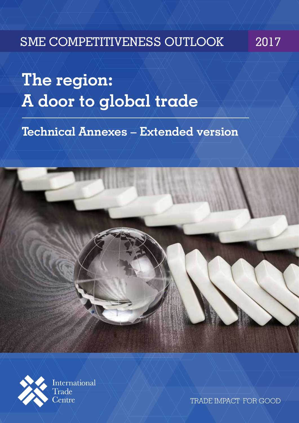# SME COMPETITIVENESS OUTLOOK 2017

**The region: A door to global trade** 

**Technical Annexes – Extended version**



International Trade Centre

TRADE IMPACT FOR GOOD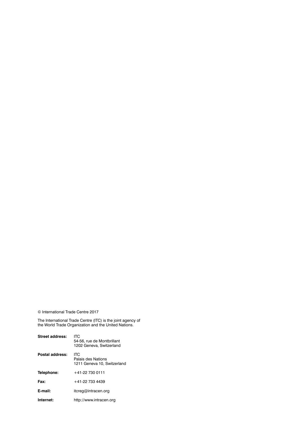© International Trade Centre 2017

The International Trade Centre (ITC) is the joint agency of the World Trade Organization and the United Nations.

| Street address: | ITC<br>54-56, rue de Montbrillant<br>1202 Geneva, Switzerland |
|-----------------|---------------------------------------------------------------|
| Postal address: | ITC<br>Palais des Nations<br>1211 Geneva 10, Switzerland      |
| Telephone:      | +41-22 730 0111                                               |
| Fax:            | +41-22 733 4439                                               |
| E-mail:         | itcreg@intracen.org                                           |
| Internet:       | http://www.intracen.org                                       |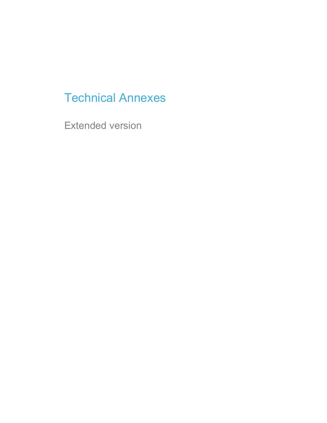# Technical Annexes

Extended version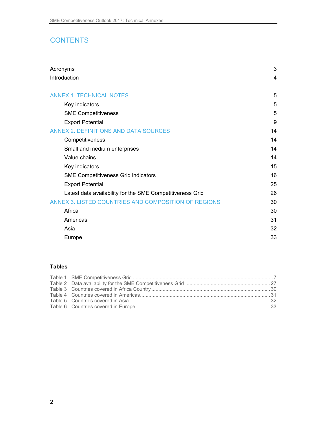# **CONTENTS**

| Acronyms                                                  | 3  |
|-----------------------------------------------------------|----|
| Introduction                                              | 4  |
| <b>ANNEX 1. TECHNICAL NOTES</b>                           | 5  |
| Key indicators                                            | 5  |
| <b>SME Competitiveness</b>                                | 5  |
| <b>Export Potential</b>                                   | 9  |
| <b>ANNEX 2. DEFINITIONS AND DATA SOURCES</b>              | 14 |
| Competitiveness                                           | 14 |
| Small and medium enterprises                              | 14 |
| Value chains                                              | 14 |
| Key indicators                                            | 15 |
| <b>SME Competitiveness Grid indicators</b>                | 16 |
| <b>Export Potential</b>                                   | 25 |
| Latest data availability for the SME Competitiveness Grid | 26 |
| ANNEX 3. LISTED COUNTRIES AND COMPOSITION OF REGIONS      | 30 |
| Africa                                                    | 30 |
| Americas                                                  | 31 |
| Asia                                                      | 32 |
| Europe                                                    | 33 |

#### **Tables**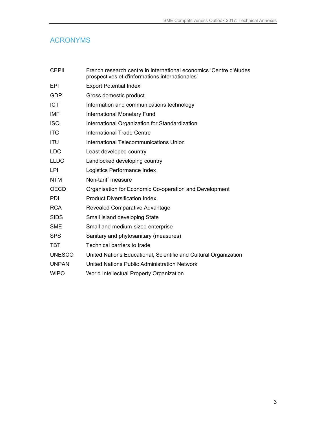# ACRONYMS

| <b>CEPII</b>  | French research centre in international economics 'Centre d'études<br>prospectives et d'informations internationales' |
|---------------|-----------------------------------------------------------------------------------------------------------------------|
| EPI           | <b>Export Potential Index</b>                                                                                         |
| <b>GDP</b>    | Gross domestic product                                                                                                |
| <b>ICT</b>    | Information and communications technology                                                                             |
| IMF           | <b>International Monetary Fund</b>                                                                                    |
| <b>ISO</b>    | International Organization for Standardization                                                                        |
| <b>ITC</b>    | <b>International Trade Centre</b>                                                                                     |
| <b>ITU</b>    | International Telecommunications Union                                                                                |
| <b>LDC</b>    | Least developed country                                                                                               |
| <b>LLDC</b>   | Landlocked developing country                                                                                         |
| LPI           | Logistics Performance Index                                                                                           |
| <b>NTM</b>    | Non-tariff measure                                                                                                    |
| <b>OECD</b>   | Organisation for Economic Co-operation and Development                                                                |
| <b>PDI</b>    | <b>Product Diversification Index</b>                                                                                  |
| <b>RCA</b>    | Revealed Comparative Advantage                                                                                        |
| <b>SIDS</b>   | Small island developing State                                                                                         |
| <b>SME</b>    | Small and medium-sized enterprise                                                                                     |
| <b>SPS</b>    | Sanitary and phytosanitary (measures)                                                                                 |
| <b>TBT</b>    | Technical barriers to trade                                                                                           |
| <b>UNESCO</b> | United Nations Educational, Scientific and Cultural Organization                                                      |
| <b>UNPAN</b>  | United Nations Public Administration Network                                                                          |
| <b>WIPO</b>   | World Intellectual Property Organization                                                                              |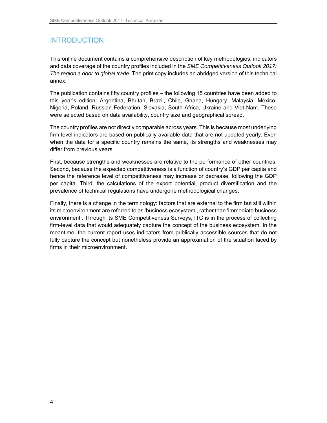# INTRODUCTION

This online document contains a comprehensive description of key methodologies, indicators and data coverage of the country profiles included in the SME Competitiveness Outlook 2017: The region a door to global trade. The print copy includes an abridged version of this technical annex.

The publication contains fifty country profiles – the following 15 countries have been added to this year's edition: Argentina, Bhutan, Brazil, Chile, Ghana, Hungary, Malaysia, Mexico, Nigeria, Poland, Russian Federation, Slovakia, South Africa, Ukraine and Viet Nam. These were selected based on data availability, country size and geographical spread.

The country profiles are not directly comparable across years. This is because most underlying firm-level indicators are based on publically available data that are not updated yearly. Even when the data for a specific country remains the same, its strengths and weaknesses may differ from previous years.

First, because strengths and weaknesses are relative to the performance of other countries. Second, because the expected competitiveness is a function of country's GDP per capita and hence the reference level of competitiveness may increase or decrease, following the GDP per capita. Third, the calculations of the export potential, product diversification and the prevalence of technical regulations have undergone methodological changes.

Finally, there is a change in the terminology: factors that are external to the firm but still within its microenvironment are referred to as 'business ecosystem', rather than 'immediate business environment'. Through its SME Competitiveness Surveys, ITC is in the process of collecting firm-level data that would adequately capture the concept of the business ecosystem. In the meantime, the current report uses indicators from publically accessible sources that do not fully capture the concept but nonetheless provide an approximation of the situation faced by firms in their microenvironment.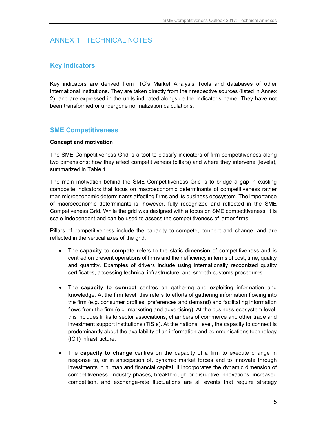# ANNEX 1 TECHNICAL NOTES

## **Key indicators**

Key indicators are derived from ITC's Market Analysis Tools and databases of other international institutions. They are taken directly from their respective sources (listed in Annex 2), and are expressed in the units indicated alongside the indicator's name. They have not been transformed or undergone normalization calculations.

### **SME Competitiveness**

#### **Concept and motivation**

The SME Competitiveness Grid is a tool to classify indicators of firm competitiveness along two dimensions: how they affect competitiveness (pillars) and where they intervene (levels), summarized in Table 1.

The main motivation behind the SME Competitiveness Grid is to bridge a gap in existing composite indicators that focus on macroeconomic determinants of competitiveness rather than microeconomic determinants affecting firms and its business ecosystem. The importance of macroeconomic determinants is, however, fully recognized and reflected in the SME Competiveness Grid. While the grid was designed with a focus on SME competitiveness, it is scale-independent and can be used to assess the competitiveness of larger firms.

Pillars of competitiveness include the capacity to compete, connect and change, and are reflected in the vertical axes of the grid.

- The **capacity to compete** refers to the static dimension of competitiveness and is centred on present operations of firms and their efficiency in terms of cost, time, quality and quantity. Examples of drivers include using internationally recognized quality certificates, accessing technical infrastructure, and smooth customs procedures.
- The **capacity to connect** centres on gathering and exploiting information and knowledge. At the firm level, this refers to efforts of gathering information flowing into the firm (e.g. consumer profiles, preferences and demand) and facilitating information flows from the firm (e.g. marketing and advertising). At the business ecosystem level, this includes links to sector associations, chambers of commerce and other trade and investment support institutions (TISIs). At the national level, the capacity to connect is predominantly about the availability of an information and communications technology (ICT) infrastructure.
- The **capacity to change** centres on the capacity of a firm to execute change in response to, or in anticipation of, dynamic market forces and to innovate through investments in human and financial capital. It incorporates the dynamic dimension of competitiveness. Industry phases, breakthrough or disruptive innovations, increased competition, and exchange-rate fluctuations are all events that require strategy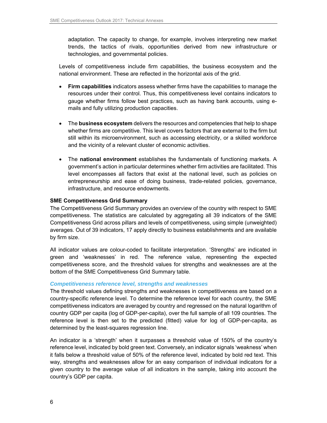adaptation. The capacity to change, for example, involves interpreting new market trends, the tactics of rivals, opportunities derived from new infrastructure or technologies, and governmental policies.

Levels of competitiveness include firm capabilities, the business ecosystem and the national environment. These are reflected in the horizontal axis of the grid.

- **Firm capabilities** indicators assess whether firms have the capabilities to manage the resources under their control. Thus, this competitiveness level contains indicators to gauge whether firms follow best practices, such as having bank accounts, using emails and fully utilizing production capacities.
- The **business ecosystem** delivers the resources and competencies that help to shape whether firms are competitive. This level covers factors that are external to the firm but still within its microenvironment, such as accessing electricity, or a skilled workforce and the vicinity of a relevant cluster of economic activities.
- The **national environment** establishes the fundamentals of functioning markets. A government's action in particular determines whether firm activities are facilitated. This level encompasses all factors that exist at the national level, such as policies on entrepreneurship and ease of doing business, trade-related policies, governance, infrastructure, and resource endowments.

#### **SME Competitiveness Grid Summary**

The Competitiveness Grid Summary provides an overview of the country with respect to SME competitiveness. The statistics are calculated by aggregating all 39 indicators of the SME Competitiveness Grid across pillars and levels of competitiveness, using simple (unweighted) averages. Out of 39 indicators, 17 apply directly to business establishments and are available by firm size.

All indicator values are colour-coded to facilitate interpretation. 'Strengths' are indicated in green and 'weaknesses' in red. The reference value, representing the expected competitiveness score, and the threshold values for strengths and weaknesses are at the bottom of the SME Competitiveness Grid Summary table.

#### **Competitiveness reference level, strengths and weaknesses**

The threshold values defining strengths and weaknesses in competitiveness are based on a country-specific reference level. To determine the reference level for each country, the SME competitiveness indicators are averaged by country and regressed on the natural logarithm of country GDP per capita (log of GDP-per-capita), over the full sample of all 109 countries. The reference level is then set to the predicted (fitted) value for log of GDP-per-capita, as determined by the least-squares regression line.

An indicator is a 'strength' when it surpasses a threshold value of 150% of the country's reference level, indicated by bold green text. Conversely, an indicator signals 'weakness' when it falls below a threshold value of 50% of the reference level, indicated by bold red text. This way, strengths and weaknesses allow for an easy comparison of individual indicators for a given country to the average value of all indicators in the sample, taking into account the country's GDP per capita.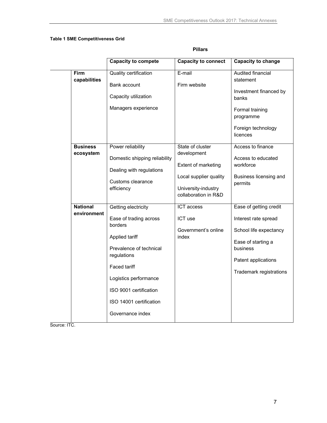#### **Table 1 SME Competitiveness Grid**

|                                | <b>Capacity to compete</b>                                                                                                                                                                                                             | <b>Capacity to connect</b>                                                                                                      | <b>Capacity to change</b>                                                                                                                                    |
|--------------------------------|----------------------------------------------------------------------------------------------------------------------------------------------------------------------------------------------------------------------------------------|---------------------------------------------------------------------------------------------------------------------------------|--------------------------------------------------------------------------------------------------------------------------------------------------------------|
| <b>Firm</b><br>capabilities    | <b>Quality certification</b><br>Bank account<br>Capacity utilization<br>Managers experience                                                                                                                                            | E-mail<br>Firm website                                                                                                          | <b>Audited financial</b><br>statement<br>Investment financed by<br>banks<br>Formal training<br>programme<br>Foreign technology<br>licences                   |
| <b>Business</b><br>ecosystem   | Power reliability<br>Domestic shipping reliability<br>Dealing with regulations<br>Customs clearance<br>efficiency                                                                                                                      | State of cluster<br>development<br>Extent of marketing<br>Local supplier quality<br>University-industry<br>collaboration in R&D | Access to finance<br>Access to educated<br>workforce<br>Business licensing and<br>permits                                                                    |
| <b>National</b><br>environment | Getting electricity<br>Ease of trading across<br>borders<br>Applied tariff<br>Prevalence of technical<br>regulations<br>Faced tariff<br>Logistics performance<br>ISO 9001 certification<br>ISO 14001 certification<br>Governance index | ICT access<br>ICT use<br>Government's online<br>index                                                                           | Ease of getting credit<br>Interest rate spread<br>School life expectancy<br>Ease of starting a<br>business<br>Patent applications<br>Trademark registrations |

Source: ITC.

#### **Pillars**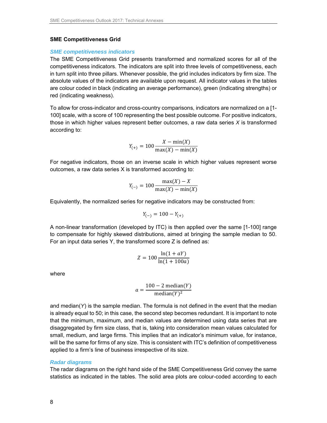#### **SME Competitiveness Grid**

#### **SME competitiveness indicators**

The SME Competitiveness Grid presents transformed and normalized scores for all of the competitiveness indicators. The indicators are split into three levels of competitiveness, each in turn split into three pillars. Whenever possible, the grid includes indicators by firm size. The absolute values of the indicators are available upon request. All indicator values in the tables are colour coded in black (indicating an average performance), green (indicating strengths) or red (indicating weakness).

To allow for cross-indicator and cross-country comparisons, indicators are normalized on a [1- 100] scale, with a score of 100 representing the best possible outcome. For positive indicators, those in which higher values represent better outcomes, a raw data series  $X$  is transformed according to:

$$
Y_{(+)} = 100 \frac{X - \min(X)}{\max(X) - \min(X)}
$$

For negative indicators, those on an inverse scale in which higher values represent worse outcomes, a raw data series X is transformed according to:

$$
Y_{(-)} = 100 \frac{\max(X) - X}{\max(X) - \min(X)}
$$

Equivalently, the normalized series for negative indicators may be constructed from:

$$
Y_{(-)} = 100 - Y_{(+)}
$$

A non-linear transformation (developed by ITC) is then applied over the same [1-100] range to compensate for highly skewed distributions, aimed at bringing the sample median to 50. For an input data series Y, the transformed score Z is defined as:

$$
Z = 100 \frac{\ln(1 + aY)}{\ln(1 + 100a)}
$$

where

$$
a = \frac{100 - 2 \text{ median}(Y)}{\text{median}(Y)^2}
$$

and median( $Y$ ) is the sample median. The formula is not defined in the event that the median is already equal to 50; in this case, the second step becomes redundant. It is important to note that the minimum, maximum, and median values are determined using data series that are disaggregated by firm size class, that is, taking into consideration mean values calculated for small, medium, and large firms. This implies that an indicator's minimum value, for instance, will be the same for firms of any size. This is consistent with ITC's definition of competitiveness applied to a firm's line of business irrespective of its size.

#### **Radar diagrams**

The radar diagrams on the right hand side of the SME Competitiveness Grid convey the same statistics as indicated in the tables. The solid area plots are colour-coded according to each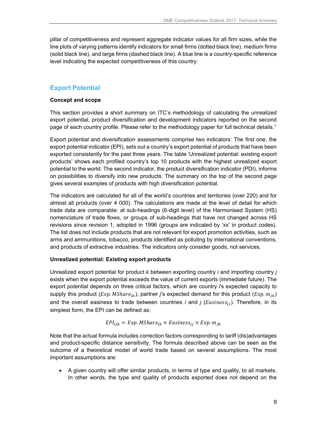pillar of competitiveness and represent aggregate indicator values for all firm sizes, while the line plots of varying patterns identify indicators for small firms (dotted black line), medium firms (solid black line), and large firms (dashed black line). A blue line is a country-specific reference level indicating the expected competitiveness of this country.

### **Export Potential**

#### **Concept and scope**

This section provides a short summary on ITC's methodology of calculating the unrealized export potential, product diversification and development indicators reported on the second page of each country profile. Please refer to the methodology paper for full technical details.<sup>1</sup>

Export potential and diversification assessments comprise two indicators: The first one, the export potential indicator (EPI), sets out a country's export potential of products that have been exported consistently for the past three years. The table 'Unrealized potential: existing export products' shows each profiled country's top 10 products with the highest unrealized export potential to the world. The second indicator, the product diversification indicator (PDI), informs on possibilities to diversify into new products. The summary on the top of the second page gives several examples of products with high diversification potential.

The indicators are calculated for all of the world's countries and territories (over 220) and for almost all products (over 4 000). The calculations are made at the level of detail for which trade data are comparable: at sub-headings (6-digit level) of the Harmonised System (HS) nomenclature of trade flows, or groups of sub-headings that have not changed across HS revisions since revision 1, adopted in 1996 (groups are indicated by 'xx' in product codes). The list does not include products that are not relevant for export promotion activities, such as arms and ammunitions, tobacco, products identified as polluting by international conventions, and products of extractive industries. The indicators only consider goods, not services.

#### **Unrealized potential: Existing export products**

Unrealized export potential for product  $k$  between exporting country *i* and importing country  $i$ exists when the export potential exceeds the value of current exports (immediate future). The export potential depends on three critical factors, which are country is expected capacity to supply this product  $(EXp. Mshare_{ik})$ , partner *j*'s expected demand for this product  $(EXp.m_{ik})$ and the overall easiness to trade between countries *i* and *j* (*Easiness<sub>ii</sub>*). Therefore, in its simplest form, the EPI can be defined as:

$$
EPI_{ijk} = Exp. MShare_{ik} \times Easiness_{ij} \times Exp. m_{jk}
$$

Note that the actual formula includes correction factors corresponding to tariff (dis)advantages and product-specific distance sensitivity. The formula described above can be seen as the outcome of a theoretical model of world trade based on several assumptions. The most important assumptions are:

 A given country will offer similar products, in terms of type and quality, to all markets. In other words, the type and quality of products exported does not depend on the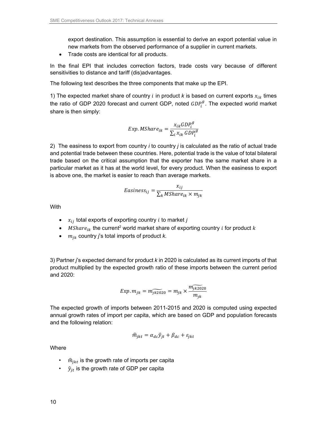export destination. This assumption is essential to derive an export potential value in new markets from the observed performance of a supplier in current markets.

• Trade costs are identical for all products.

In the final EPI that includes correction factors, trade costs vary because of different sensitivities to distance and tariff (dis)advantages.

The following text describes the three components that make up the EPI.

1) The expected market share of country i in product k is based on current exports  $x_{ik}$  times the ratio of GDP 2020 forecast and current GDP, noted  $\mathit{GDP}^g_i$ . The expected world market share is then simply:

$$
Exp. MShare_{ik} = \frac{x_{ik} GDP_i^g}{\sum_i x_{ik} GDP_i^g}
$$

2) The easiness to export from country *i* to country *j* is calculated as the ratio of actual trade and potential trade between these countries. Here, potential trade is the value of total bilateral trade based on the critical assumption that the exporter has the same market share in a particular market as it has at the world level, for every product. When the easiness to export is above one, the market is easier to reach than average markets.

$$
Easiness_{ij} = \frac{x_{ij}}{\sum_{k} MShare_{ik} \times m_{jk}}
$$

With

- $x_{ij}$  total exports of exporting country *i* to market *j*
- $\bullet$  MSha $re_{ik}$  the current<sup>2</sup> world market share of exporting country  $i$  for product  $k$
- $m_{ik}$  country *j*'s total imports of product *k*.

3) Partner j's expected demand for product k in 2020 is calculated as its current imports of that product multiplied by the expected growth ratio of these imports between the current period and 2020:

$$
Exp. m_{jk} = m_{jk2020} = m_{jk} \times \frac{m_{jk2020}}{m_{jk}}
$$

The expected growth of imports between 2011-2015 and 2020 is computed using expected annual growth rates of import per capita, which are based on GDP and population forecasts and the following relation:

$$
\hat{m}_{jkt} = \alpha_{dc}\hat{y}_{jt} + \beta_{dc} + \varepsilon_{jkt}
$$

**Where** 

- $\hat{m}_{ikt}$  is the growth rate of imports per capita
- $\hat{y}_{it}$  is the growth rate of GDP per capita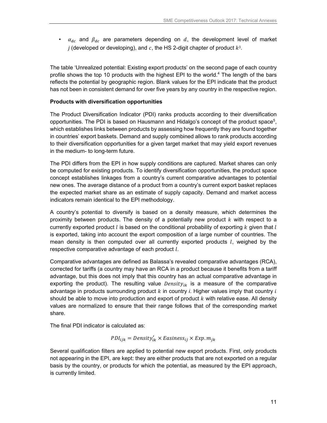•  $\alpha_{dc}$  and  $\beta_{dc}$  are parameters depending on  $d$ , the development level of market *i* (developed or developing), and  $c$ , the HS 2-digit chapter of product  $k<sup>3</sup>$ .

The table 'Unrealized potential: Existing export products' on the second page of each country profile shows the top 10 products with the highest EPI to the world.<sup>4</sup> The length of the bars reflects the potential by geographic region. Blank values for the EPI indicate that the product has not been in consistent demand for over five years by any country in the respective region.

#### **Products with diversification opportunities**

The Product Diversification Indicator (PDI) ranks products according to their diversification opportunities. The PDI is based on Hausmann and Hidalgo's concept of the product space<sup>5</sup>, which establishes links between products by assessing how frequently they are found together in countries' export baskets. Demand and supply combined allows to rank products according to their diversification opportunities for a given target market that may yield export revenues in the medium- to long-term future.

The PDI differs from the EPI in how supply conditions are captured. Market shares can only be computed for existing products. To identify diversification opportunities, the product space concept establishes linkages from a country's current comparative advantages to potential new ones. The average distance of a product from a country's current export basket replaces the expected market share as an estimate of supply capacity. Demand and market access indicators remain identical to the EPI methodology.

A country's potential to diversify is based on a density measure, which determines the proximity between products. The density of a potentially new product  $k$  with respect to a currently exported product  $l$  is based on the conditional probability of exporting  $k$  given that  $l$ is exported, taking into account the export composition of a large number of countries. The mean density is then computed over all currently exported products  $l$ , weighed by the respective comparative advantage of each product  $l$ .

Comparative advantages are defined as Balassa's revealed comparative advantages (RCA), corrected for tariffs (a country may have an RCA in a product because it benefits from a tariff advantage, but this does not imply that this country has an actual comparative advantage in exporting the product). The resulting value *Density<sub>ik</sub>* is a measure of the comparative advantage in products surrounding product  $k$  in country i. Higher values imply that country  $i$ should be able to move into production and export of product  $k$  with relative ease. All density values are normalized to ensure that their range follows that of the corresponding market share.

The final PDI indicator is calculated as:

$$
PDI_{ijk} = Density'_{ik} \times Ensiness_{ij} \times Exp.m_{jk}
$$

Several qualification filters are applied to potential new export products. First, only products not appearing in the EPI, are kept: they are either products that are not exported on a regular basis by the country, or products for which the potential, as measured by the EPI approach, is currently limited.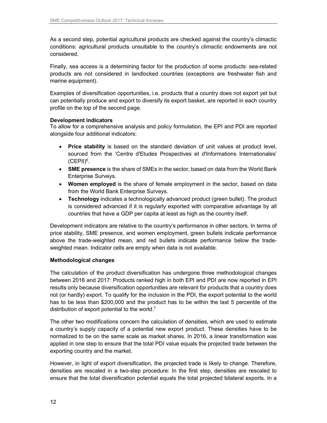As a second step, potential agricultural products are checked against the country's climactic conditions: agricultural products unsuitable to the country's climactic endowments are not considered.

Finally, sea access is a determining factor for the production of some products: sea-related products are not considered in landlocked countries (exceptions are freshwater fish and marine equipment).

Examples of diversification opportunities, i.e. products that a country does not export yet but can potentially produce and export to diversify its export basket, are reported in each country profile on the top of the second page.

#### **Development indicators**

To allow for a comprehensive analysis and policy formulation, the EPI and PDI are reported alongside four additional indicators:

- **Price stability** is based on the standard deviation of unit values at product level, sourced from the 'Centre d'Etudes Prospectives et d'Informations Internationales'  $(CEPII)^6$ .
- **SME presence** is the share of SMEs in the sector, based on data from the World Bank Enterprise Surveys.
- **Women employed** is the share of female employment in the sector, based on data from the World Bank Enterprise Surveys.
- **Technology** indicates a technologically advanced product (green bullet). The product is considered advanced if it is regularly exported with comparative advantage by all countries that have a GDP per capita at least as high as the country itself.

Development indicators are relative to the country's performance in other sectors. In terms of price stability, SME presence, and women employment, green bullets indicate performance above the trade-weighted mean, and red bullets indicate performance below the tradeweighted mean. Indicator cells are empty when data is not available.

#### **Methodological changes**

The calculation of the product diversification has undergone three methodological changes between 2016 and 2017: Products ranked high in both EPI and PDI are now reported in EPI results only because diversification opportunities are relevant for products that a country does not (or hardly) export. To qualify for the inclusion in the PDI, the export potential to the world has to be less than \$200,000 and the product has to be within the last 5 percentile of the distribution of export potential to the world.<sup>7</sup>

The other two modifications concern the calculation of densities, which are used to estimate a country's supply capacity of a potential new export product. These densities have to be normalized to be on the same scale as market shares. In 2016, a linear transformation was applied in one step to ensure that the total PDI value equals the projected trade between the exporting country and the market.

However, in light of export diversification, the projected trade is likely to change. Therefore, densities are rescaled in a two-step procedure: In the first step, densities are rescaled to ensure that the total diversification potential equals the total projected bilateral exports. In a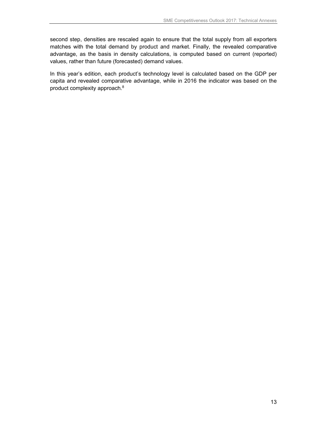second step, densities are rescaled again to ensure that the total supply from all exporters matches with the total demand by product and market. Finally, the revealed comparative advantage, as the basis in density calculations, is computed based on current (reported) values, rather than future (forecasted) demand values.

In this year's edition, each product's technology level is calculated based on the GDP per capita and revealed comparative advantage, while in 2016 the indicator was based on the product complexity approach.8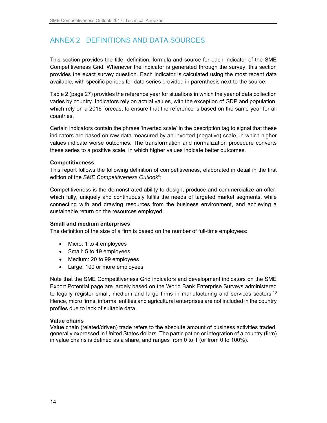# ANNEX 2 DEFINITIONS AND DATA SOURCES

This section provides the title, definition, formula and source for each indicator of the SME Competitiveness Grid. Whenever the indicator is generated through the survey, this section provides the exact survey question. Each indicator is calculated using the most recent data available, with specific periods for data series provided in parenthesis next to the source.

Table 2 (page 27) provides the reference year for situations in which the year of data collection varies by country. Indicators rely on actual values, with the exception of GDP and population, which rely on a 2016 forecast to ensure that the reference is based on the same year for all countries.

Certain indicators contain the phrase 'inverted scale' in the description tag to signal that these indicators are based on raw data measured by an inverted (negative) scale, in which higher values indicate worse outcomes. The transformation and normalization procedure converts these series to a positive scale, in which higher values indicate better outcomes.

#### **Competitiveness**

This report follows the following definition of competitiveness, elaborated in detail in the first edition of the SME Competitiveness Outlook<sup>9</sup>:

Competitiveness is the demonstrated ability to design, produce and commercialize an offer, which fully, uniquely and continuously fulfils the needs of targeted market segments, while connecting with and drawing resources from the business environment, and achieving a sustainable return on the resources employed.

#### **Small and medium enterprises**

The definition of the size of a firm is based on the number of full-time employees:

- Micro: 1 to 4 employees
- Small: 5 to 19 employees
- Medium: 20 to 99 employees
- Large: 100 or more employees.

Note that the SME Competitiveness Grid indicators and development indicators on the SME Export Potential page are largely based on the World Bank Enterprise Surveys administered to legally register small, medium and large firms in manufacturing and services sectors.<sup>10</sup> Hence, micro firms, informal entities and agricultural enterprises are not included in the country profiles due to lack of suitable data.

#### **Value chains**

Value chain (related/driven) trade refers to the absolute amount of business activities traded, generally expressed in United States dollars. The participation or integration of a country (firm) in value chains is defined as a share, and ranges from 0 to 1 (or from 0 to 100%).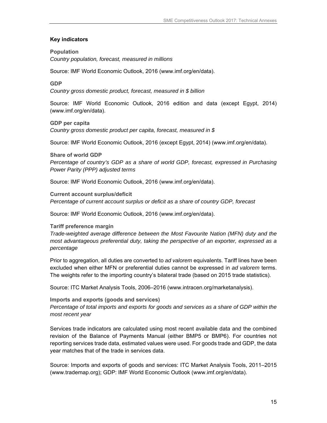#### **Key indicators**

#### **Population**

Country population, forecast, measured in millions

Source: IMF World Economic Outlook, 2016 (www.imf.org/en/data).

#### **GDP**

Country gross domestic product, forecast, measured in \$ billion

Source: IMF World Economic Outlook, 2016 edition and data (except Egypt, 2014) (www.imf.org/en/data).

## **GDP per capita**

Country gross domestic product per capita, forecast, measured in \$

Source: IMF World Economic Outlook, 2016 (except Egypt, 2014) (www.imf.org/en/data).

#### **Share of world GDP**

Percentage of country's GDP as a share of world GDP, forecast, expressed in Purchasing Power Parity (PPP) adjusted terms

Source: IMF World Economic Outlook, 2016 (www.imf.org/en/data).

**Current account surplus/deficit**  Percentage of current account surplus or deficit as a share of country GDP, forecast

Source: IMF World Economic Outlook, 2016 (www.imf.org/en/data).

#### **Tariff preference margin**

Trade-weighted average difference between the Most Favourite Nation (MFN) duty and the most advantageous preferential duty, taking the perspective of an exporter, expressed as a percentage

Prior to aggregation, all duties are converted to ad valorem equivalents. Tariff lines have been excluded when either MFN or preferential duties cannot be expressed in ad valorem terms. The weights refer to the importing country's bilateral trade (based on 2015 trade statistics).

Source: ITC Market Analysis Tools, 2006–2016 (www.intracen.org/marketanalysis).

#### **Imports and exports (goods and services)**

Percentage of total imports and exports for goods and services as a share of GDP within the most recent year

Services trade indicators are calculated using most recent available data and the combined revision of the Balance of Payments Manual (either BMP5 or BMP6). For countries not reporting services trade data, estimated values were used. For goods trade and GDP, the data year matches that of the trade in services data.

Source: Imports and exports of goods and services: ITC Market Analysis Tools, 2011–2015 (www.trademap.org); GDP: IMF World Economic Outlook (www.imf.org/en/data).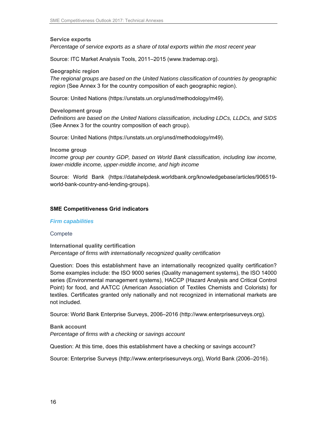**Service exports**  Percentage of service exports as a share of total exports within the most recent year

Source: ITC Market Analysis Tools, 2011–2015 (www.trademap.org).

**Geographic region** 

The regional groups are based on the United Nations classification of countries by geographic region (See Annex 3 for the country composition of each geographic region).

Source: United Nations (https://unstats.un.org/unsd/methodology/m49).

**Development group** 

Definitions are based on the United Nations classification, including LDCs, LLDCs, and SIDS (See Annex 3 for the country composition of each group).

Source: United Nations (https://unstats.un.org/unsd/methodology/m49).

**Income group** 

Income group per country GDP, based on World Bank classification, including low income, lower-middle income, upper-middle income, and high income

Source: World Bank (https://datahelpdesk.worldbank.org/knowledgebase/articles/906519 world-bank-country-and-lending-groups).

#### **SME Competitiveness Grid indicators**

#### **Firm capabilities**

#### **Compete**

**International quality certification**  Percentage of firms with internationally recognized quality certification

Question: Does this establishment have an internationally recognized quality certification? Some examples include: the ISO 9000 series (Quality management systems), the ISO 14000 series (Environmental management systems), HACCP (Hazard Analysis and Critical Control Point) for food, and AATCC (American Association of Textiles Chemists and Colorists) for textiles. Certificates granted only nationally and not recognized in international markets are not included.

Source: World Bank Enterprise Surveys, 2006–2016 (http://www.enterprisesurveys.org).

**Bank account**  Percentage of firms with a checking or savings account

Question: At this time, does this establishment have a checking or savings account?

Source: Enterprise Surveys (http://www.enterprisesurveys.org), World Bank (2006–2016).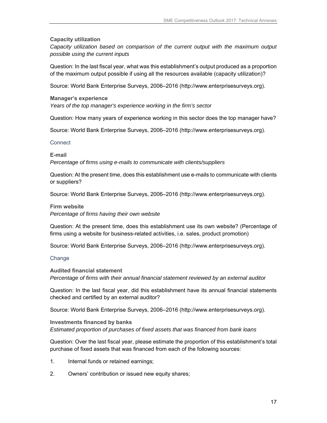#### **Capacity utilization**

Capacity utilization based on comparison of the current output with the maximum output possible using the current inputs

Question: In the last fiscal year, what was this establishment's output produced as a proportion of the maximum output possible if using all the resources available (capacity utilization)?

Source: World Bank Enterprise Surveys, 2006–2016 (http://www.enterprisesurveys.org).

#### **Manager's experience**

Years of the top manager's experience working in the firm's sector

Question: How many years of experience working in this sector does the top manager have?

Source: World Bank Enterprise Surveys, 2006–2016 (http://www.enterprisesurveys.org).

#### **Connect**

**E-mail** 

Percentage of firms using e-mails to communicate with clients/suppliers

Question: At the present time, does this establishment use e-mails to communicate with clients or suppliers?

Source: World Bank Enterprise Surveys, 2006–2016 (http://www.enterprisesurveys.org).

#### **Firm website**

Percentage of firms having their own website

Question: At the present time, does this establishment use its own website? (Percentage of firms using a website for business-related activities, i.e. sales, product promotion)

Source: World Bank Enterprise Surveys, 2006–2016 (http://www.enterprisesurveys.org).

#### **Change**

**Audited financial statement**  Percentage of firms with their annual financial statement reviewed by an external auditor

Question: In the last fiscal year, did this establishment have its annual financial statements checked and certified by an external auditor?

Source: World Bank Enterprise Surveys, 2006–2016 (http://www.enterprisesurveys.org).

#### **Investments financed by banks**  Estimated proportion of purchases of fixed assets that was financed from bank loans

Question: Over the last fiscal year, please estimate the proportion of this establishment's total purchase of fixed assets that was financed from each of the following sources:

- 1. Internal funds or retained earnings;
- 2. Owners' contribution or issued new equity shares;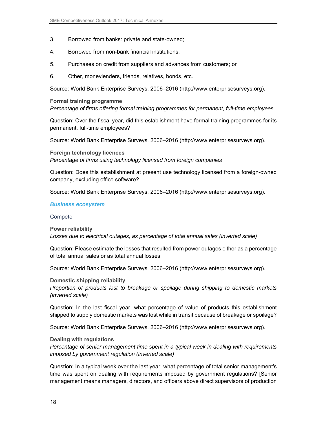- 3. Borrowed from banks: private and state-owned;
- 4. Borrowed from non-bank financial institutions;
- 5. Purchases on credit from suppliers and advances from customers; or
- 6. Other, moneylenders, friends, relatives, bonds, etc.

Source: World Bank Enterprise Surveys, 2006–2016 (http://www.enterprisesurveys.org).

#### **Formal training programme**

Percentage of firms offering formal training programmes for permanent, full-time employees

Question: Over the fiscal year, did this establishment have formal training programmes for its permanent, full-time employees?

Source: World Bank Enterprise Surveys, 2006–2016 (http://www.enterprisesurveys.org).

**Foreign technology licences**  Percentage of firms using technology licensed from foreign companies

Question: Does this establishment at present use technology licensed from a foreign-owned company, excluding office software?

Source: World Bank Enterprise Surveys, 2006–2016 (http://www.enterprisesurveys.org).

#### **Business ecosystem**

#### **Compete**

#### **Power reliability**

Losses due to electrical outages, as percentage of total annual sales (inverted scale)

Question: Please estimate the losses that resulted from power outages either as a percentage of total annual sales or as total annual losses.

Source: World Bank Enterprise Surveys, 2006–2016 (http://www.enterprisesurveys.org).

**Domestic shipping reliability** 

Proportion of products lost to breakage or spoilage during shipping to domestic markets (inverted scale)

Question: In the last fiscal year, what percentage of value of products this establishment shipped to supply domestic markets was lost while in transit because of breakage or spoilage?

Source: World Bank Enterprise Surveys, 2006–2016 (http://www.enterprisesurveys.org).

#### **Dealing with regulations**

Percentage of senior management time spent in a typical week in dealing with requirements imposed by government regulation (inverted scale)

Question: In a typical week over the last year, what percentage of total senior management's time was spent on dealing with requirements imposed by government regulations? [Senior management means managers, directors, and officers above direct supervisors of production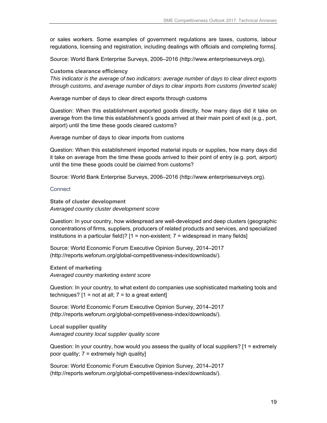or sales workers. Some examples of government regulations are taxes, customs, labour regulations, licensing and registration, including dealings with officials and completing forms].

Source: World Bank Enterprise Surveys, 2006–2016 (http://www.enterprisesurveys.org).

#### **Customs clearance efficiency**

This indicator is the average of two indicators: average number of days to clear direct exports through customs, and average number of days to clear imports from customs (inverted scale)

Average number of days to clear direct exports through customs

Question: When this establishment exported goods directly, how many days did it take on average from the time this establishment's goods arrived at their main point of exit (e.g., port, airport) until the time these goods cleared customs?

Average number of days to clear imports from customs

Question: When this establishment imported material inputs or supplies, how many days did it take on average from the time these goods arrived to their point of entry (e.g. port, airport) until the time these goods could be claimed from customs?

Source: World Bank Enterprise Surveys, 2006–2016 (http://www.enterprisesurveys.org).

**Connect** 

**State of cluster development**  Averaged country cluster development score

Question: In your country, how widespread are well-developed and deep clusters (geographic concentrations of firms, suppliers, producers of related products and services, and specialized institutions in a particular field)?  $[1 = non-existent; 7 = widespread in many fields]$ 

Source: World Economic Forum Executive Opinion Survey, 2014–2017 (http://reports.weforum.org/global-competitiveness-index/downloads/).

**Extent of marketing**  Averaged country marketing extent score

Question: In your country, to what extent do companies use sophisticated marketing tools and techniques?  $[1 = not at all; 7 = to a great extent]$ 

Source: World Economic Forum Executive Opinion Survey, 2014–2017 (http://reports.weforum.org/global-competitiveness-index/downloads/).

**Local supplier quality**  Averaged country local supplier quality score

Question: In your country, how would you assess the quality of local suppliers? [1 = extremely poor quality;  $7 =$  extremely high quality]

Source: World Economic Forum Executive Opinion Survey, 2014–2017 (http://reports.weforum.org/global-competitiveness-index/downloads/).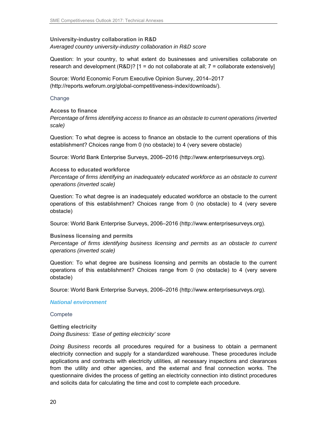**University-industry collaboration in R&D** 

Averaged country university-industry collaboration in R&D score

Question: In your country, to what extent do businesses and universities collaborate on research and development  $(R&D)?$  [1 = do not collaborate at all; 7 = collaborate extensively]

Source: World Economic Forum Executive Opinion Survey, 2014–2017 (http://reports.weforum.org/global-competitiveness-index/downloads/).

**Change** 

#### **Access to finance**

Percentage of firms identifying access to finance as an obstacle to current operations (inverted scale)

Question: To what degree is access to finance an obstacle to the current operations of this establishment? Choices range from 0 (no obstacle) to 4 (very severe obstacle)

Source: World Bank Enterprise Surveys, 2006–2016 (http://www.enterprisesurveys.org).

#### **Access to educated workforce**

Percentage of firms identifying an inadequately educated workforce as an obstacle to current operations (inverted scale)

Question: To what degree is an inadequately educated workforce an obstacle to the current operations of this establishment? Choices range from 0 (no obstacle) to 4 (very severe obstacle)

Source: World Bank Enterprise Surveys, 2006–2016 (http://www.enterprisesurveys.org).

#### **Business licensing and permits**

Percentage of firms identifying business licensing and permits as an obstacle to current operations (inverted scale)

Question: To what degree are business licensing and permits an obstacle to the current operations of this establishment? Choices range from 0 (no obstacle) to 4 (very severe obstacle)

Source: World Bank Enterprise Surveys, 2006–2016 (http://www.enterprisesurveys.org).

#### **National environment**

**Compete** 

**Getting electricity**  Doing Business: 'Ease of getting electricity' score

Doing Business records all procedures required for a business to obtain a permanent electricity connection and supply for a standardized warehouse. These procedures include applications and contracts with electricity utilities, all necessary inspections and clearances from the utility and other agencies, and the external and final connection works. The questionnaire divides the process of getting an electricity connection into distinct procedures and solicits data for calculating the time and cost to complete each procedure.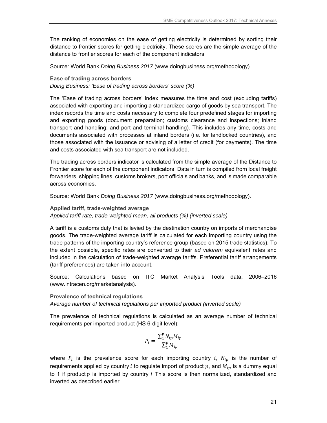The ranking of economies on the ease of getting electricity is determined by sorting their distance to frontier scores for getting electricity. These scores are the simple average of the distance to frontier scores for each of the component indicators.

Source: World Bank Doing Business 2017 (www.doingbusiness.org/methodology).

**Ease of trading across borders** Doing Business: 'Ease of trading across borders' score (%)

The 'Ease of trading across borders' index measures the time and cost (excluding tariffs) associated with exporting and importing a standardized cargo of goods by sea transport. The index records the time and costs necessary to complete four predefined stages for importing and exporting goods (document preparation; customs clearance and inspections; inland transport and handling; and port and terminal handling). This includes any time, costs and documents associated with processes at inland borders (i.e. for landlocked countries), and those associated with the issuance or advising of a letter of credit (for payments). The time and costs associated with sea transport are not included.

The trading across borders indicator is calculated from the simple average of the Distance to Frontier score for each of the component indicators. Data in turn is compiled from local freight forwarders, shipping lines, customs brokers, port officials and banks, and is made comparable across economies.

Source: World Bank Doing Business 2017 (www.doingbusiness.org/methodology).

#### **Applied tariff, trade-weighted average**  Applied tariff rate, trade-weighted mean, all products (%) (inverted scale)

A tariff is a customs duty that is levied by the destination country on imports of merchandise goods. The trade-weighted average tariff is calculated for each importing country using the trade patterns of the importing country's reference group (based on 2015 trade statistics). To the extent possible, specific rates are converted to their ad valorem equivalent rates and included in the calculation of trade-weighted average tariffs. Preferential tariff arrangements (tariff preferences) are taken into account.

Source: Calculations based on ITC Market Analysis Tools data, 2006–2016 (www.intracen.org/marketanalysis).

#### **Prevalence of technical regulations**

Average number of technical regulations per imported product (inverted scale)

The prevalence of technical regulations is calculated as an average number of technical requirements per imported product (HS 6-digit level):

$$
P_i = \frac{\sum_{1}^{p} N_{ip} M_{ip}}{\sum_{1}^{p} M_{ip}}
$$

where  $P_i$  is the prevalence score for each importing country i,  $N_{ip}$  is the number of requirements applied by country *i* to regulate import of product  $p$ , and  $M_{ip}$  is a dummy equal to 1 if product  $p$  is imported by country i. This score is then normalized, standardized and inverted as described earlier.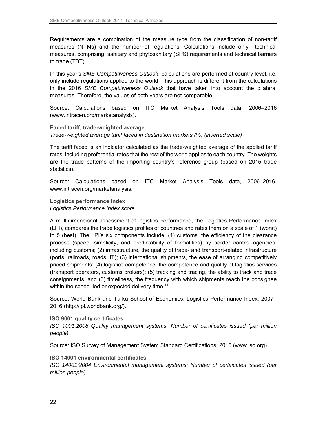Requirements are a combination of the measure type from the classification of non-tariff measures (NTMs) and the number of regulations. Calculations include only technical measures, comprising sanitary and phytosanitary (SPS) requirements and technical barriers to trade (TBT).

In this year's SME Competitiveness Outlook calculations are performed at country level, i.e. only include regulations applied to the world. This approach is different from the calculations in the 2016 SME Competitiveness Outlook that have taken into account the bilateral measures. Therefore, the values of both years are not comparable.

Source: Calculations based on ITC Market Analysis Tools data, 2006–2016 (www.intracen.org/marketanalysis).

**Faced tariff, trade-weighted average** 

Trade-weighted average tariff faced in destination markets (%) (inverted scale)

The tariff faced is an indicator calculated as the trade-weighted average of the applied tariff rates, including preferential rates that the rest of the world applies to each country. The weights are the trade patterns of the importing country's reference group (based on 2015 trade statistics).

Source: Calculations based on ITC Market Analysis Tools data, 2006–2016, www.intracen.org/marketanalysis.

**Logistics performance index**  Logistics Performance Index score

A multidimensional assessment of logistics performance, the Logistics Performance Index (LPI), compares the trade logistics profiles of countries and rates them on a scale of 1 (worst) to 5 (best). The LPI's six components include: (1) customs, the efficiency of the clearance process (speed, simplicity, and predictability of formalities) by border control agencies, including customs; (2) infrastructure, the quality of trade- and transport-related infrastructure (ports, railroads, roads, IT); (3) international shipments, the ease of arranging competitively priced shipments; (4) logistics competence, the competence and quality of logistics services (transport operators, customs brokers); (5) tracking and tracing, the ability to track and trace consignments; and (6) timeliness, the frequency with which shipments reach the consignee within the scheduled or expected delivery time.<sup>11</sup>

Source: World Bank and Turku School of Economics, Logistics Performance Index, 2007– 2016 (http://lpi.worldbank.org/).

**ISO 9001 quality certificates** 

ISO 9001:2008 Quality management systems: Number of certificates issued (per million people)

Source: ISO Survey of Management System Standard Certifications, 2015 (www.iso.org).

**ISO 14001 environmental certificates** 

ISO 14001:2004 Environmental management systems: Number of certificates issued (per million people)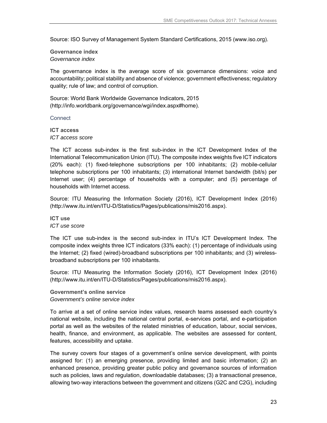Source: ISO Survey of Management System Standard Certifications, 2015 (www.iso.org).

**Governance index**  Governance index

The governance index is the average score of six governance dimensions: voice and accountability; political stability and absence of violence; government effectiveness; regulatory quality; rule of law; and control of corruption.

Source: World Bank Worldwide Governance Indicators, 2015 (http://info.worldbank.org/governance/wgi/index.aspx#home).

**Connect** 

**ICT access**  ICT access score

The ICT access sub-index is the first sub-index in the ICT Development Index of the International Telecommunication Union (ITU). The composite index weights five ICT indicators (20% each): (1) fixed-telephone subscriptions per 100 inhabitants; (2) mobile-cellular telephone subscriptions per 100 inhabitants; (3) international Internet bandwidth (bit/s) per Internet user; (4) percentage of households with a computer; and (5) percentage of households with Internet access.

Source: ITU Measuring the Information Society (2016), ICT Development Index (2016) (http://www.itu.int/en/ITU-D/Statistics/Pages/publications/mis2016.aspx).

**ICT use**  ICT use score

The ICT use sub-index is the second sub-index in ITU's ICT Development Index. The composite index weights three ICT indicators (33% each): (1) percentage of individuals using the Internet; (2) fixed (wired)-broadband subscriptions per 100 inhabitants; and (3) wirelessbroadband subscriptions per 100 inhabitants.

Source: ITU Measuring the Information Society (2016), ICT Development Index (2016) (http://www.itu.int/en/ITU-D/Statistics/Pages/publications/mis2016.aspx).

**Government's online service**  Government's online service index

To arrive at a set of online service index values, research teams assessed each country's national website, including the national central portal, e-services portal, and e-participation portal as well as the websites of the related ministries of education, labour, social services, health, finance, and environment, as applicable. The websites are assessed for content, features, accessibility and uptake.

The survey covers four stages of a government's online service development, with points assigned for: (1) an emerging presence, providing limited and basic information; (2) an enhanced presence, providing greater public policy and governance sources of information such as policies, laws and regulation, downloadable databases; (3) a transactional presence, allowing two-way interactions between the government and citizens (G2C and C2G), including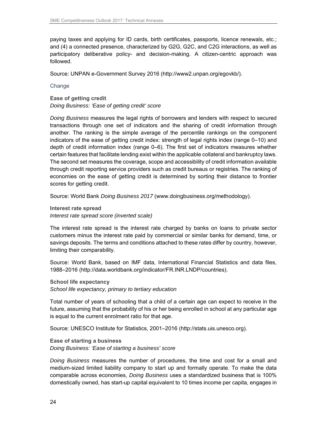paying taxes and applying for ID cards, birth certificates, passports, licence renewals, etc.; and (4) a connected presence, characterized by G2G, G2C, and C2G interactions, as well as participatory deliberative policy- and decision-making. A citizen-centric approach was followed.

Source: UNPAN e-Government Survey 2016 (http://www2.unpan.org/egovkb/).

Change

**Ease of getting credit**  Doing Business: 'Ease of getting credit' score

Doing Business measures the legal rights of borrowers and lenders with respect to secured transactions through one set of indicators and the sharing of credit information through another. The ranking is the simple average of the percentile rankings on the component indicators of the ease of getting credit index: strength of legal rights index (range 0–10) and depth of credit information index (range 0–6). The first set of indicators measures whether certain features that facilitate lending exist within the applicable collateral and bankruptcy laws. The second set measures the coverage, scope and accessibility of credit information available through credit reporting service providers such as credit bureaus or registries. The ranking of economies on the ease of getting credit is determined by sorting their distance to frontier scores for getting credit.

Source: World Bank Doing Business 2017 (www.doingbusiness.org/methodology).

**Interest rate spread**  Interest rate spread score (inverted scale)

The interest rate spread is the interest rate charged by banks on loans to private sector customers minus the interest rate paid by commercial or similar banks for demand, time, or savings deposits. The terms and conditions attached to these rates differ by country, however, limiting their comparability.

Source: World Bank, based on IMF data, International Financial Statistics and data files, 1988–2016 (http://data.worldbank.org/indicator/FR.INR.LNDP/countries).

**School life expectancy**  School life expectancy, primary to tertiary education

Total number of years of schooling that a child of a certain age can expect to receive in the future, assuming that the probability of his or her being enrolled in school at any particular age is equal to the current enrolment ratio for that age.

Source: UNESCO Institute for Statistics, 2001–2016 (http://stats.uis.unesco.org).

**Ease of starting a business**  Doing Business: 'Ease of starting a business' score

Doing Business measures the number of procedures, the time and cost for a small and medium-sized limited liability company to start up and formally operate. To make the data comparable across economies, Doing Business uses a standardized business that is 100% domestically owned, has start-up capital equivalent to 10 times income per capita, engages in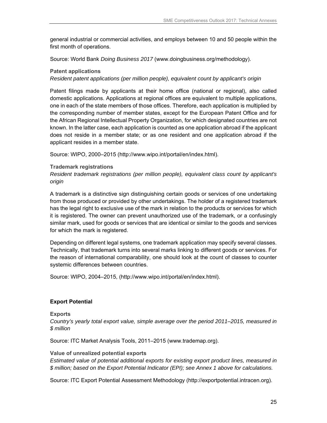general industrial or commercial activities, and employs between 10 and 50 people within the first month of operations.

Source: World Bank Doing Business 2017 (www.doingbusiness.org/methodology).

#### **Patent applications**

Resident patent applications (per million people), equivalent count by applicant's origin

Patent filings made by applicants at their home office (national or regional), also called domestic applications. Applications at regional offices are equivalent to multiple applications, one in each of the state members of those offices. Therefore, each application is multiplied by the corresponding number of member states, except for the European Patent Office and for the African Regional Intellectual Property Organization, for which designated countries are not known. In the latter case, each application is counted as one application abroad if the applicant does not reside in a member state; or as one resident and one application abroad if the applicant resides in a member state.

Source: WIPO, 2000–2015 (http://www.wipo.int/portal/en/index.html).

#### **Trademark registrations**

Resident trademark registrations (per million people), equivalent class count by applicant's origin

A trademark is a distinctive sign distinguishing certain goods or services of one undertaking from those produced or provided by other undertakings. The holder of a registered trademark has the legal right to exclusive use of the mark in relation to the products or services for which it is registered. The owner can prevent unauthorized use of the trademark, or a confusingly similar mark, used for goods or services that are identical or similar to the goods and services for which the mark is registered.

Depending on different legal systems, one trademark application may specify several classes. Technically, that trademark turns into several marks linking to different goods or services. For the reason of international comparability, one should look at the count of classes to counter systemic differences between countries.

Source: WIPO, 2004–2015, (http://www.wipo.int/portal/en/index.html).

#### **Export Potential**

#### **Exports**

Country's yearly total export value, simple average over the period 2011–2015, measured in \$ million

Source: ITC Market Analysis Tools, 2011–2015 (www.trademap.org).

#### **Value of unrealized potential exports**

Estimated value of potential additional exports for existing export product lines, measured in \$ million; based on the Export Potential Indicator (EPI); see Annex 1 above for calculations.

Source: ITC Export Potential Assessment Methodology (http://exportpotential.intracen.org).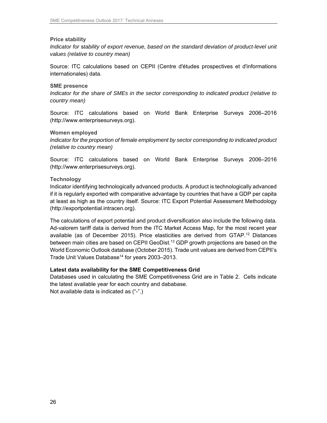#### **Price stability**

Indicator for stability of export revenue, based on the standard deviation of product-level unit values (relative to country mean)

Source: ITC calculations based on CEPII (Centre d'études prospectives et d'informations internationales) data.

#### **SME presence**

Indicator for the share of SMEs in the sector corresponding to indicated product (relative to country mean)

Source: ITC calculations based on World Bank Enterprise Surveys 2006–2016 (http://www.enterprisesurveys.org).

#### **Women employed**

Indicator for the proportion of female employment by sector corresponding to indicated product (relative to country mean)

Source: ITC calculations based on World Bank Enterprise Surveys 2006–2016 (http://www.enterprisesurveys.org).

#### **Technology**

Indicator identifying technologically advanced products. A product is technologically advanced if it is regularly exported with comparative advantage by countries that have a GDP per capita at least as high as the country itself. Source: ITC Export Potential Assessment Methodology (http://exportpotential.intracen.org).

The calculations of export potential and product diversification also include the following data. Ad-valorem tariff data is derived from the ITC Market Access Map, for the most recent year available (as of December 2015). Price elasticities are derived from GTAP.<sup>12</sup> Distances between main cities are based on CEPII GeoDist.<sup>13</sup> GDP growth projections are based on the World Economic Outlook database (October 2015). Trade unit values are derived from CEPII's Trade Unit Values Database<sup>14</sup> for years 2003-2013.

#### **Latest data availability for the SME Competitiveness Grid**

Databases used in calculating the SME Competitiveness Grid are in Table 2. Cells indicate the latest available year for each country and dababase.

Not available data is indicated as ("-".)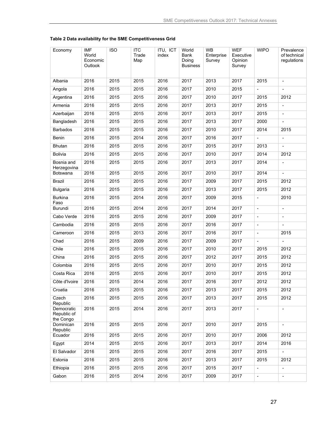| Economy                                | <b>IMF</b><br>World<br>Economic<br>Outlook | <b>ISO</b> | <b>ITC</b><br>Trade<br>Map | ITU, ICT<br>index | World<br>Bank<br>Doing<br><b>Business</b> | WB<br>Enterprise<br>Survey | <b>WEF</b><br>Executive<br>Opinion<br>Survey | <b>WIPO</b>              | Prevalence<br>of technical<br>regulations |
|----------------------------------------|--------------------------------------------|------------|----------------------------|-------------------|-------------------------------------------|----------------------------|----------------------------------------------|--------------------------|-------------------------------------------|
| Albania                                | 2016                                       | 2015       | 2015                       | 2016              | 2017                                      | 2013                       | 2017                                         | 2015                     | $\blacksquare$                            |
| Angola                                 | 2016                                       | 2015       | 2015                       | 2016              | 2017                                      | 2010                       | 2015                                         | $\blacksquare$           |                                           |
| Argentina                              | 2016                                       | 2015       | 2015                       | 2016              | 2017                                      | 2010                       | 2017                                         | 2015                     | 2012                                      |
| Armenia                                | 2016                                       | 2015       | 2015                       | 2016              | 2017                                      | 2013                       | 2017                                         | 2015                     | $\overline{\phantom{a}}$                  |
| Azerbaijan                             | 2016                                       | 2015       | 2015                       | 2016              | 2017                                      | 2013                       | 2017                                         | 2015                     |                                           |
| Bangladesh                             | 2016                                       | 2015       | 2015                       | 2016              | 2017                                      | 2013                       | 2017                                         | 2000                     |                                           |
| Barbados                               | 2016                                       | 2015       | 2015                       | 2016              | 2017                                      | 2010                       | 2017                                         | 2014                     | 2015                                      |
| Benin                                  | 2016                                       | 2015       | 2014                       | 2016              | 2017                                      | 2016                       | 2017                                         | $\overline{\phantom{a}}$ | $\overline{\phantom{a}}$                  |
| Bhutan                                 | 2016                                       | 2015       | 2015                       | 2016              | 2017                                      | 2015                       | 2017                                         | 2013                     |                                           |
| <b>Bolivia</b>                         | 2016                                       | 2015       | 2015                       | 2016              | 2017                                      | 2010                       | 2017                                         | 2014                     | 2012                                      |
| Bosnia and<br>Herzegovina              | 2016                                       | 2015       | 2015                       | 2016              | 2017                                      | 2013                       | 2017                                         | 2014                     | $\overline{\phantom{a}}$                  |
| <b>Botswana</b>                        | 2016                                       | 2015       | 2015                       | 2016              | 2017                                      | 2010                       | 2017                                         | 2014                     | $\blacksquare$                            |
| <b>Brazil</b>                          | 2016                                       | 2015       | 2015                       | 2016              | 2017                                      | 2009                       | 2017                                         | 2015                     | 2012                                      |
| <b>Bulgaria</b>                        | 2016                                       | 2015       | 2015                       | 2016              | 2017                                      | 2013                       | 2017                                         | 2015                     | 2012                                      |
| <b>Burkina</b><br>Faso                 | 2016                                       | 2015       | 2014                       | 2016              | 2017                                      | 2009                       | 2015                                         | $\blacksquare$           | 2010                                      |
| Burundi                                | 2016                                       | 2015       | 2014                       | 2016              | 2017                                      | 2014                       | 2017                                         | $\blacksquare$           | $\overline{\phantom{a}}$                  |
| Cabo Verde                             | 2016                                       | 2015       | 2015                       | 2016              | 2017                                      | 2009                       | 2017                                         | $\overline{\phantom{m}}$ |                                           |
| Cambodia                               | 2016                                       | 2015       | 2015                       | 2016              | 2017                                      | 2016                       | 2017                                         | $\overline{\phantom{a}}$ | $\blacksquare$                            |
| Cameroon                               | 2016                                       | 2015       | 2013                       | 2016              | 2017                                      | 2016                       | 2017                                         | $\overline{\phantom{a}}$ | 2015                                      |
| Chad                                   | 2016                                       | 2015       | 2009                       | 2016              | 2017                                      | 2009                       | 2017                                         | $\blacksquare$           | $\overline{\phantom{a}}$                  |
| Chile                                  | 2016                                       | 2015       | 2015                       | 2016              | 2017                                      | 2010                       | 2017                                         | 2015                     | 2012                                      |
| China                                  | 2016                                       | 2015       | 2015                       | 2016              | 2017                                      | 2012                       | 2017                                         | 2015                     | 2012                                      |
| Colombia                               | 2016                                       | 2015       | 2015                       | 2016              | 2017                                      | 2010                       | 2017                                         | 2015                     | 2012                                      |
| Costa Rica                             | 2016                                       | 2015       | 2015                       | 2016              | 2017                                      | 2010                       | 2017                                         | 2015                     | 2012                                      |
| Côte d'Ivoire                          | 2016                                       | 2015       | 2014                       | 2016              | 2017                                      | 2016                       | 2017                                         | 2012                     | 2012                                      |
| Croatia                                | 2016                                       | 2015       | 2015                       | 2016              | 2017                                      | 2013                       | 2017                                         | 2015                     | 2012                                      |
| Czech<br>Republic                      | 2016                                       | 2015       | 2015                       | 2016              | 2017                                      | 2013                       | 2017                                         | 2015                     | 2012                                      |
| Democratic<br>Republic of<br>the Congo | 2016                                       | 2015       | 2014                       | 2016              | 2017                                      | 2013                       | 2017                                         | $\blacksquare$           | $\blacksquare$                            |
| Dominican<br>Republic                  | 2016                                       | 2015       | 2015                       | 2016              | 2017                                      | 2010                       | 2017                                         | 2015                     | $\blacksquare$                            |
| Ecuador                                | 2016                                       | 2015       | 2015                       | 2016              | 2017                                      | 2010                       | 2017                                         | 2006                     | 2012                                      |
| Egypt                                  | 2014                                       | 2015       | 2015                       | 2016              | 2017                                      | 2013                       | 2017                                         | 2014                     | 2016                                      |
| El Salvador                            | 2016                                       | 2015       | 2015                       | 2016              | 2017                                      | 2016                       | 2017                                         | 2015                     | $\overline{\phantom{a}}$                  |
| Estonia                                | 2016                                       | 2015       | 2015                       | 2016              | 2017                                      | 2013                       | 2017                                         | 2015                     | 2012                                      |
| Ethiopia                               | 2016                                       | 2015       | 2015                       | 2016              | 2017                                      | 2015                       | 2017                                         | $\frac{1}{2}$            | $\blacksquare$                            |
| Gabon                                  | 2016                                       | 2015       | 2014                       | 2016              | 2017                                      | 2009                       | 2017                                         | $\blacksquare$           | $\blacksquare$                            |

#### **Table 2 Data availability for the SME Competitiveness Grid**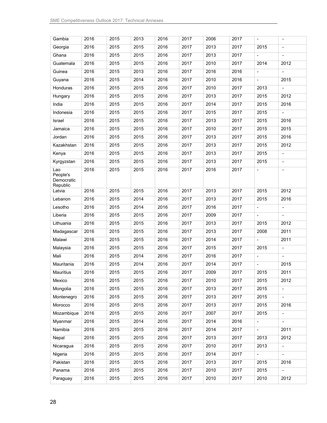| Gambia                                    | 2016 | 2015 | 2013 | 2016 | 2017 | 2006 | 2017 | $\blacksquare$           | $\overline{\phantom{a}}$ |
|-------------------------------------------|------|------|------|------|------|------|------|--------------------------|--------------------------|
| Georgia                                   | 2016 | 2015 | 2015 | 2016 | 2017 | 2013 | 2017 | 2015                     |                          |
| Ghana                                     | 2016 | 2015 | 2015 | 2016 | 2017 | 2013 | 2017 | $\overline{\phantom{a}}$ | $\blacksquare$           |
| Guatemala                                 | 2016 | 2015 | 2015 | 2016 | 2017 | 2010 | 2017 | 2014                     | 2012                     |
| Guinea                                    | 2016 | 2015 | 2013 | 2016 | 2017 | 2016 | 2016 | $\blacksquare$           |                          |
| Guyana                                    | 2016 | 2015 | 2014 | 2016 | 2017 | 2010 | 2016 | $\overline{\phantom{a}}$ | 2015                     |
| Honduras                                  | 2016 | 2015 | 2015 | 2016 | 2017 | 2010 | 2017 | 2013                     | $\blacksquare$           |
| Hungary                                   | 2016 | 2015 | 2015 | 2016 | 2017 | 2013 | 2017 | 2015                     | 2012                     |
| India                                     | 2016 | 2015 | 2015 | 2016 | 2017 | 2014 | 2017 | 2015                     | 2016                     |
| Indonesia                                 | 2016 | 2015 | 2015 | 2016 | 2017 | 2015 | 2017 | 2015                     | ÷.                       |
| Israel                                    | 2016 | 2015 | 2015 | 2016 | 2017 | 2013 | 2017 | 2015                     | 2016                     |
| Jamaica                                   | 2016 | 2015 | 2015 | 2016 | 2017 | 2010 | 2017 | 2015                     | 2015                     |
| Jordan                                    | 2016 | 2015 | 2015 | 2016 | 2017 | 2013 | 2017 | 2015                     | 2016                     |
| Kazakhstan                                | 2016 | 2015 | 2015 | 2016 | 2017 | 2013 | 2017 | 2015                     | 2012                     |
| Kenya                                     | 2016 | 2015 | 2015 | 2016 | 2017 | 2013 | 2017 | 2015                     |                          |
| Kyrgyzstan                                | 2016 | 2015 | 2015 | 2016 | 2017 | 2013 | 2017 | 2015                     | $\overline{\phantom{a}}$ |
| Lao<br>People's<br>Democratic<br>Republic | 2016 | 2015 | 2015 | 2016 | 2017 | 2016 | 2017 | $\overline{\phantom{a}}$ | $\overline{\phantom{a}}$ |
| Latvia                                    | 2016 | 2015 | 2015 | 2016 | 2017 | 2013 | 2017 | 2015                     | 2012                     |
| Lebanon                                   | 2016 | 2015 | 2014 | 2016 | 2017 | 2013 | 2017 | 2015                     | 2016                     |
| Lesotho                                   | 2016 | 2015 | 2014 | 2016 | 2017 | 2016 | 2017 | $\overline{\phantom{a}}$ | $\blacksquare$           |
| Liberia                                   | 2016 | 2015 | 2015 | 2016 | 2017 | 2009 | 2017 | $\blacksquare$           | $\overline{\phantom{a}}$ |
| Lithuania                                 | 2016 | 2015 | 2015 | 2016 | 2017 | 2013 | 2017 | 2015                     | 2012                     |
| Madagascar                                | 2016 | 2015 | 2015 | 2016 | 2017 | 2013 | 2017 | 2008                     | 2011                     |
| Malawi                                    | 2016 | 2015 | 2015 | 2016 | 2017 | 2014 | 2017 |                          | 2011                     |
| Malaysia                                  | 2016 | 2015 | 2015 | 2016 | 2017 | 2015 | 2017 | 2015                     | $\overline{\phantom{a}}$ |
| Mali                                      | 2016 | 2015 | 2014 | 2016 | 2017 | 2016 | 2017 | $\blacksquare$           |                          |
| Mauritania                                | 2016 | 2015 | 2014 | 2016 | 2017 | 2014 | 2017 | $\blacksquare$           | 2015                     |
| <b>Mauritius</b>                          | 2016 | 2015 | 2015 | 2016 | 2017 | 2009 | 2017 | 2015                     | 2011                     |
| Mexico                                    | 2016 | 2015 | 2015 | 2016 | 2017 | 2010 | 2017 | 2015                     | 2012                     |
| Mongolia                                  | 2016 | 2015 | 2015 | 2016 | 2017 | 2013 | 2017 | 2015                     | $\blacksquare$           |
| Montenegro                                | 2016 | 2015 | 2015 | 2016 | 2017 | 2013 | 2017 | 2015                     |                          |
| Morocco                                   | 2016 | 2015 | 2015 | 2016 | 2017 | 2013 | 2017 | 2015                     | 2016                     |
| Mozambique                                | 2016 | 2015 | 2015 | 2016 | 2017 | 2007 | 2017 | 2015                     | $\overline{\phantom{0}}$ |
| Myanmar                                   | 2016 | 2015 | 2014 | 2016 | 2017 | 2014 | 2016 | $\overline{\phantom{a}}$ | $\overline{\phantom{a}}$ |
| Namibia                                   | 2016 | 2015 | 2015 | 2016 | 2017 | 2014 | 2017 |                          | 2011                     |
| Nepal                                     | 2016 | 2015 | 2015 | 2016 | 2017 | 2013 | 2017 | 2013                     | 2012                     |
| Nicaragua                                 | 2016 | 2015 | 2015 | 2016 | 2017 | 2010 | 2017 | 2013                     | $\overline{\phantom{a}}$ |
| Nigeria                                   | 2016 | 2015 | 2015 | 2016 | 2017 | 2014 | 2017 | $\blacksquare$           | $\blacksquare$           |
| Pakistan                                  | 2016 | 2015 | 2015 | 2016 | 2017 | 2013 | 2017 | 2015                     | 2016                     |
| Panama                                    | 2016 | 2015 | 2015 | 2016 | 2017 | 2010 | 2017 | 2015                     | $\blacksquare$           |
| Paraguay                                  | 2016 | 2015 | 2015 | 2016 | 2017 | 2010 | 2017 | 2010                     | 2012                     |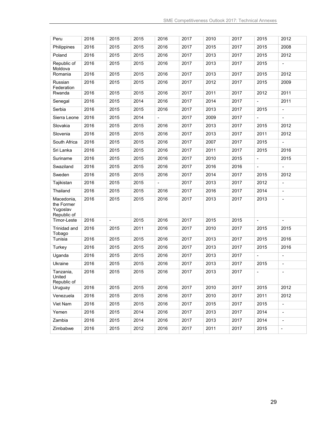| Peru                                                | 2016 | 2015           | 2015 | 2016                     | 2017 | 2010 | 2017 | 2015                         | 2012                     |
|-----------------------------------------------------|------|----------------|------|--------------------------|------|------|------|------------------------------|--------------------------|
| Philippines                                         | 2016 | 2015           | 2015 | 2016                     | 2017 | 2015 | 2017 | 2015                         | 2008                     |
| Poland                                              | 2016 | 2015           | 2015 | 2016                     | 2017 | 2013 | 2017 | 2015                         | 2012                     |
| Republic of<br>Moldova                              | 2016 | 2015           | 2015 | 2016                     | 2017 | 2013 | 2017 | 2015                         | $\overline{\phantom{a}}$ |
| Romania                                             | 2016 | 2015           | 2015 | 2016                     | 2017 | 2013 | 2017 | 2015                         | 2012                     |
| Russian<br>Federation                               | 2016 | 2015           | 2015 | 2016                     | 2017 | 2012 | 2017 | 2015                         | 2009                     |
| Rwanda                                              | 2016 | 2015           | 2015 | 2016                     | 2017 | 2011 | 2017 | 2012                         | 2011                     |
| Senegal                                             | 2016 | 2015           | 2014 | 2016                     | 2017 | 2014 | 2017 | $\overline{\phantom{a}}$     | 2011                     |
| Serbia                                              | 2016 | 2015           | 2015 | 2016                     | 2017 | 2013 | 2017 | 2015                         | $\overline{\phantom{a}}$ |
| Sierra Leone                                        | 2016 | 2015           | 2014 | $\blacksquare$           | 2017 | 2009 | 2017 | $\qquad \qquad \blacksquare$ | $\blacksquare$           |
| Slovakia                                            | 2016 | 2015           | 2015 | 2016                     | 2017 | 2013 | 2017 | 2015                         | 2012                     |
| Slovenia                                            | 2016 | 2015           | 2015 | 2016                     | 2017 | 2013 | 2017 | 2011                         | 2012                     |
| South Africa                                        | 2016 | 2015           | 2015 | 2016                     | 2017 | 2007 | 2017 | 2015                         |                          |
| Sri Lanka                                           | 2016 | 2015           | 2015 | 2016                     | 2017 | 2011 | 2017 | 2015                         | 2016                     |
| Suriname                                            | 2016 | 2015           | 2015 | 2016                     | 2017 | 2010 | 2015 | $\blacksquare$               | 2015                     |
| Swaziland                                           | 2016 | 2015           | 2015 | 2016                     | 2017 | 2016 | 2016 | $\overline{\phantom{a}}$     | $\blacksquare$           |
| Sweden                                              | 2016 | 2015           | 2015 | 2016                     | 2017 | 2014 | 2017 | 2015                         | 2012                     |
| Tajikistan                                          | 2016 | 2015           | 2015 | $\overline{\phantom{a}}$ | 2017 | 2013 | 2017 | 2012                         | $\blacksquare$           |
| Thailand                                            | 2016 | 2015           | 2015 | 2016                     | 2017 | 2016 | 2017 | 2014                         | $\overline{\phantom{a}}$ |
| Macedonia,<br>the Former<br>Yugoslav<br>Republic of | 2016 | 2015           | 2015 | 2016                     | 2017 | 2013 | 2017 | 2013                         | $\blacksquare$           |
| Timor-Leste                                         | 2016 | $\blacksquare$ | 2015 | 2016                     | 2017 | 2015 | 2015 | $\blacksquare$               | $\blacksquare$           |
| Trinidad and<br>Tobago                              | 2016 | 2015           | 2011 | 2016                     | 2017 | 2010 | 2017 | 2015                         | 2015                     |
| Tunisia                                             | 2016 | 2015           | 2015 | 2016                     | 2017 | 2013 | 2017 | 2015                         | 2016                     |
| <b>Turkey</b>                                       | 2016 | 2015           | 2015 | 2016                     | 2017 | 2013 | 2017 | 2015                         | 2016                     |
| Uganda                                              | 2016 | 2015           | 2015 | 2016                     | 2017 | 2013 | 2017 | $\overline{\phantom{0}}$     | $\overline{\phantom{a}}$ |
| Ukraine                                             | 2016 | 2015           | 2015 | 2016                     | 2017 | 2013 | 2017 | 2015                         |                          |
| Tanzania,<br>United<br>Republic of                  | 2016 | 2015           | 2015 | 2016                     | 2017 | 2013 | 2017 | $\blacksquare$               | $\blacksquare$           |
| Uruguay                                             | 2016 | 2015           | 2015 | 2016                     | 2017 | 2010 | 2017 | 2015                         | 2012                     |
| Venezuela                                           | 2016 | 2015           | 2015 | 2016                     | 2017 | 2010 | 2017 | 2011                         | 2012                     |
| Viet Nam                                            | 2016 | 2015           | 2015 | 2016                     | 2017 | 2015 | 2017 | 2015                         | $\overline{\phantom{a}}$ |
| Yemen                                               | 2016 | 2015           | 2014 | 2016                     | 2017 | 2013 | 2017 | 2014                         | $\overline{\phantom{a}}$ |
| Zambia                                              | 2016 | 2015           | 2014 | 2016                     | 2017 | 2013 | 2017 | 2014                         | $\blacksquare$           |
| Zimbabwe                                            | 2016 | 2015           | 2012 | 2016                     | 2017 | 2011 | 2017 | 2015                         | $\blacksquare$           |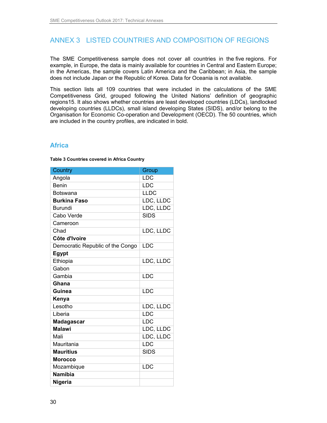# ANNEX 3 LISTED COUNTRIES AND COMPOSITION OF REGIONS

The SME Competitiveness sample does not cover all countries in the five regions. For example, in Europe, the data is mainly available for countries in Central and Eastern Europe; in the Americas, the sample covers Latin America and the Caribbean; in Asia, the sample does not include Japan or the Republic of Korea. Data for Oceania is not available.

This section lists all 109 countries that were included in the calculations of the SME Competitiveness Grid, grouped following the United Nations' definition of geographic regions15. It also shows whether countries are least developed countries (LDCs), landlocked developing countries (LLDCs), small island developing States (SIDS), and/or belong to the Organisation for Economic Co-operation and Development (OECD). The 50 countries, which are included in the country profiles, are indicated in bold.

## **Africa**

**Table 3 Countries covered in Africa Country** 

| Country                          | Group       |
|----------------------------------|-------------|
| Angola                           | <b>LDC</b>  |
| Benin                            | LDC         |
| <b>Botswana</b>                  | <b>LLDC</b> |
| <b>Burkina Faso</b>              | LDC, LLDC   |
| <b>Burundi</b>                   | LDC, LLDC   |
| Cabo Verde                       | <b>SIDS</b> |
| Cameroon                         |             |
| Chad                             | LDC, LLDC   |
| Côte d'Ivoire                    |             |
| Democratic Republic of the Congo | LDC         |
| Egypt                            |             |
| Ethiopia                         | LDC, LLDC   |
| Gabon                            |             |
| Gambia                           | LDC         |
| Ghana                            |             |
| <b>Guinea</b>                    | LDC         |
| Kenya                            |             |
| Lesotho                          | LDC, LLDC   |
| Liberia                          | LDC         |
| Madagascar                       | <b>LDC</b>  |
| <b>Malawi</b>                    | LDC, LLDC   |
| Mali                             | LDC, LLDC   |
| Mauritania                       | LDC         |
| <b>Mauritius</b>                 | <b>SIDS</b> |
| <b>Morocco</b>                   |             |
| Mozambique                       | LDC         |
| <b>Namibia</b>                   |             |
| <b>Nigeria</b>                   |             |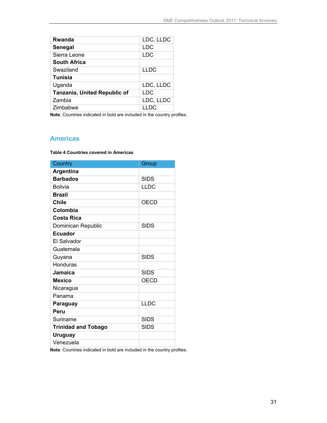| LDC, LLDC   |
|-------------|
| <b>LDC</b>  |
| <b>LDC</b>  |
|             |
| <b>LLDC</b> |
|             |
| LDC, LLDC   |
| LDC         |
| LDC, LLDC   |
| <b>LLDC</b> |
|             |

**Note**: Countries indicated in bold are included in the country profiles.

## **Americas**

**Table 4 Countries covered in Americas** 

| Country                    | Group       |
|----------------------------|-------------|
| Argentina                  |             |
| <b>Barbados</b>            | <b>SIDS</b> |
| <b>Bolivia</b>             | <b>LLDC</b> |
| <b>Brazil</b>              |             |
| <b>Chile</b>               | OECD        |
| Colombia                   |             |
| <b>Costa Rica</b>          |             |
| Dominican Republic         | <b>SIDS</b> |
| <b>Ecuador</b>             |             |
| El Salvador                |             |
| Guatemala                  |             |
| Guyana                     | <b>SIDS</b> |
| Honduras                   |             |
| Jamaica                    | <b>SIDS</b> |
| <b>Mexico</b>              | <b>OECD</b> |
| Nicaragua                  |             |
| Panama                     |             |
| Paraguay                   | <b>LLDC</b> |
| Peru                       |             |
| Suriname                   | <b>SIDS</b> |
| <b>Trinidad and Tobago</b> | <b>SIDS</b> |
| <b>Uruguay</b>             |             |
| Venezuela                  |             |

**Note**: Countries indicated in bold are included in the country profiles.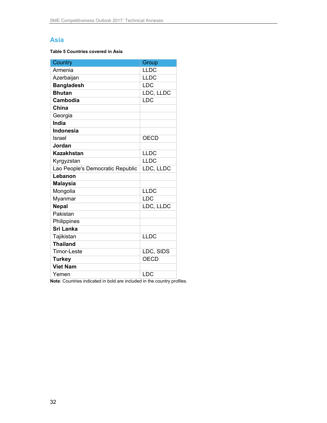## **Asia**

#### **Table 5 Countries covered in Asia**

| Country                          | Group       |
|----------------------------------|-------------|
| Armenia                          | <b>LLDC</b> |
| Azerbaijan                       | <b>LLDC</b> |
| <b>Bangladesh</b>                | <b>LDC</b>  |
| <b>Bhutan</b>                    | LDC, LLDC   |
| Cambodia                         | LDC         |
| China                            |             |
| Georgia                          |             |
| India                            |             |
| <b>Indonesia</b>                 |             |
| Israel                           | <b>OECD</b> |
| Jordan                           |             |
| <b>Kazakhstan</b>                | <b>LLDC</b> |
| Kyrgyzstan                       | <b>LLDC</b> |
| Lao People's Democratic Republic | LDC, LLDC   |
| Lebanon                          |             |
| <b>Malaysia</b>                  |             |
| Mongolia                         | <b>LLDC</b> |
| Myanmar                          | <b>LDC</b>  |
| <b>Nepal</b>                     | LDC, LLDC   |
| Pakistan                         |             |
| Philippines                      |             |
| <b>Sri Lanka</b>                 |             |
| Tajikistan                       | <b>LLDC</b> |
| <b>Thailand</b>                  |             |
| <b>Timor-Leste</b>               | LDC, SIDS   |
| <b>Turkey</b>                    | <b>OECD</b> |
| <b>Viet Nam</b>                  |             |
| Yemen                            | <b>LDC</b>  |
|                                  |             |

**Note**: Countries indicated in bold are included in the country profiles.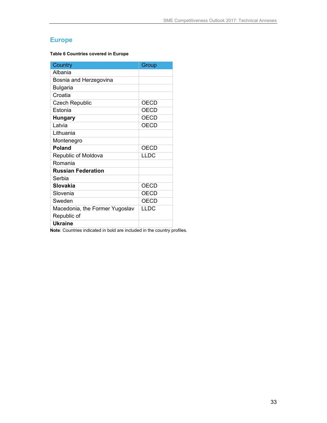## **Europe**

**Table 6 Countries covered in Europe** 

| Country                        | Group       |
|--------------------------------|-------------|
| Albania                        |             |
| Bosnia and Herzegovina         |             |
| <b>Bulgaria</b>                |             |
| Croatia                        |             |
| <b>Czech Republic</b>          | <b>OECD</b> |
| Estonia                        | <b>OECD</b> |
| <b>Hungary</b>                 | <b>OECD</b> |
| Latvia                         | <b>OECD</b> |
| Lithuania                      |             |
| Montenegro                     |             |
| <b>Poland</b>                  | <b>OECD</b> |
| Republic of Moldova            | <b>LLDC</b> |
| Romania                        |             |
| <b>Russian Federation</b>      |             |
| Serbia                         |             |
| Slovakia                       | <b>OECD</b> |
| Slovenia                       | <b>OECD</b> |
| Sweden                         | <b>OECD</b> |
| Macedonia, the Former Yugoslav | <b>LLDC</b> |
| Republic of                    |             |
| <b>Ukraine</b>                 |             |

**Note**: Countries indicated in bold are included in the country profiles.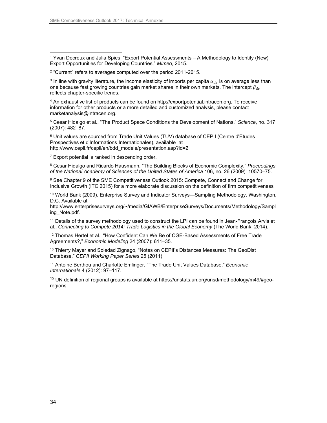-

1 Yvan Decreux and Julia Spies, "Export Potential Assessments – A Methodology to Identify (New) Export Opportunities for Developing Countries," Mimeo, 2015.

2 "Current" refers to averages computed over the period 2011-2015.

<sup>3</sup> In line with gravity literature, the income elasticity of imports per capita  $\alpha_{dc}$  is on average less than one because fast growing countries gain market shares in their own markets. The intercept  $\beta_{dc}$ reflects chapter-specific trends.

4 An exhaustive list of products can be found on http://exportpotential.intracen.org. To receive information for other products or a more detailed and customized analysis, please contact marketanalysis@intracen.org.

5 Cesar Hidalgo et al., "The Product Space Conditions the Development of Nations," Science, no. 317 (2007): 482–87.

6 Unit values are sourced from Trade Unit Values (TUV) database of CEPII (Centre d'Etudes Prospectives et d'Informations Internationales), available at http://www.cepii.fr/cepii/en/bdd\_modele/presentation.asp?id=2

 $7$  Export potential is ranked in descending order.

<sup>8</sup> Cesar Hidalgo and Ricardo Hausmann, "The Building Blocks of Economic Complexity," Proceedings of the National Academy of Sciences of the United States of America 106, no. 26 (2009): 10570–75.

9 See Chapter 9 of the SME Competitiveness Outlook 2015: Compete, Connect and Change for Inclusive Growth (ITC,2015) for a more elaborate discussion on the definition of firm competitiveness

10 World Bank (2009). Enterprise Survey and Indicator Surveys—Sampling Methodology. Washington, D.C. Available at

http://www.enterprisesurveys.org/~/media/GIAWB/EnterpriseSurveys/Documents/Methodology/Sampl ing\_Note.pdf.

<sup>11</sup> Details of the survey methodology used to construct the LPI can be found in Jean-François Arvis et al., Connecting to Compete 2014: Trade Logistics in the Global Economy (The World Bank, 2014).

<sup>12</sup> Thomas Hertel et al., "How Confident Can We Be of CGE-Based Assessments of Free Trade Agreements?," Economic Modeling 24 (2007): 611–35.

<sup>13</sup> Thierry Mayer and Soledad Zignago, "Notes on CEPII's Distances Measures: The GeoDist Database," CEPII Working Paper Series 25 (2011).

<sup>14</sup> Antoine Berthou and Charlotte Emlinger, "The Trade Unit Values Database," Economie Internationale 4 (2012): 97–117.

<sup>15</sup> UN definition of regional groups is available at https://unstats.un.org/unsd/methodology/m49/#georegions.